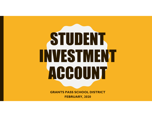# STUDENT IN VIESTIMENT ACHOUNT

GRANTS PASS SCHOOL DISTRICT FEBRUARY, 2020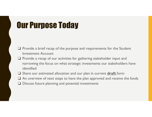### Our Purpose Today

- ❏ Provide a brief recap of the purpose and requirements for the Student Investment Account
- ❏ Provide a recap of our activities for gathering stakeholder input and narrowing the focus on what strategic investments our stakeholders have identified
- $\Box$  Share our estimated allocation and our plan in current  $\text{drift}$  form
- ❏ An overview of next steps to have the plan approved and receive the funds
- ❏ Discuss future planning and potential investments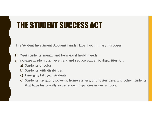### THE STUDENT SUCCESS ACT

The Student Investment Account Funds Have Two Primary Purposes:

- 1) Meet students' mental and behavioral health needs
- 2) Increase academic achievement and reduce academic disparities for:
	- a) Students of color
	- b) Students with disabilities
	- c) Emerging bilingual students
	- d) Students navigating poverty, homelessness, and foster care; and other students that have historically experienced disparities in our schools.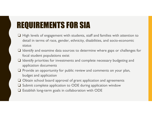### REQUIREMENTS FOR SIA

- ❏ High levels of engagement with students, staff and families with attention to detail in terms of race, gender, ethnicity, disabilities, and socio-economic status
- ❏ Identify and examine data sources to determine where gaps or challenges for focal student populations exist
- ❏ Identify priorities for investments and complete necessary budgeting and application documents
- ❏ Provide an opportunity for public review and comments on your plan, budget and application
- ❏ Obtain school board approval of grant application and agreements
- ❏ Submit complete application to ODE during application window
- ❏ Establish long-term goals in collaboration with ODE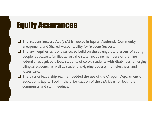### Equity Assurances

- ❏ The Student Success Act (SSA) is rooted in Equity, Authentic Community Engagement, and Shared Accountability for Student Success.
- ❏ The law requires school districts to build on the strengths and assets of young people, educators, families across the state, including members of the nine federally recognized tribes; students of color, students with disabilities, emerging bilingual students, as well as student navigating poverty, homelessness, and foster care.
- ❏ The district leadership team embedded the use of the Oregon Department of Education's Equity Tool in the prioritization of the SSA ideas for both the community and staff meetings.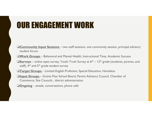### OUR ENGAGEMENT WORK

- ❏Community Input Sessions two staff sessions, one community session, principal advisory student forum ❏Work Groups – Behavioral and Mental Health, Instructional Time, Academic Success ❏Surveys – online open survey, Youth Truth Survey at 6th – 12th grade (students, parents, and **UCH ENGINIEM ENGINEM MOREM SERVICES COMMUNITY (SCILL AND ACCOMMUNITY CONSUMIDATION CONSUMITY)**<br>
The Community Sessions – Behavioral and Mental Health, Instructional Time, Academic Success<br>
The Coronage – Behavioral and M **□Community Input Sessions** – two staff sessions, one community session, principal advisory<br>student forum<br>**□Work Groups** – Behavioral and Mental Health, Instructional Time, Academic Success<br>**□Surveys** – online open survey **OCommunity Input Sessions** – two staff sessions, one commistudent forum<br>
UWork Groups – Behavioral and Mental Health, Instructional<br>
USurveys – online open survey, Youth Truth Survey at  $6^{th}$  – I<br>
staff),  $4^{th}$  and  $5^{$
- 
- staff),  $4<sup>th</sup>$  and  $5<sup>th</sup>$  grade student survey
- 
- Commerce, Site Councils , district administration
-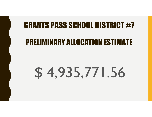### GRANTS PASS SCHOOL DISTRICT #7

### PRELIMINARY ALLOCATION ESTIMATE

## $$4,935,771.56$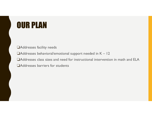### OUR PLAN

❏Addresses facility needs

❏Addresses behavioral/emotional support needed in K – 12 ❏Addresses class sizes and need for instructional intervention in math and ELA

❏Addresses barriers for students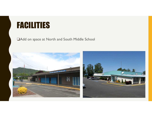### FACILITIES

#### ❏Add on space at North and South Middle School

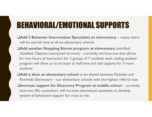### BEHAVIORAL/EMOTIONAL SUPPORTS

- ❏Add 3 Behavior Intervention Specialists at elementary means there will be one full time at all six elementary schools
- ❏Add another Stepping Stones program at elementary (certified, **CHAVIORAL/EMOTIONAL SUPPORTS**<br>Add 3 Behavior Intervention Specialists at elementary – means there<br>will be one full time at all six elementary schools<br>Add another Stepping Stones program at elementary (certified,<br>classifie for two hours of instruction for 3 groups of 7 students each, adding another program will allow us to increase to half-time and add capacity for 7 more students Add 3 Behavior Intervention Specialists at elementary – means there<br>will be one full time at all six elementary schools<br>Add another Stepping Stones program at elementary (certified,<br>classified, Options contracted services) will be one full time at all six elementary schools<br> **□Add another Stepping Stones program at elementary** (certified,<br>
classified, Options contracted services) – currently we have one that allows<br>
for two hours of instruc
- ❏Add a dean at elementary school to be shared between Parkside and
- have two SEL counselors, will increase educational assistants to develop system of behavioral support for most at risk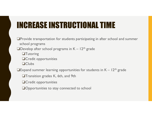### INCREASE INSTRUCTIONAL TIME

❏Provide transportation for students participating in after school and summer school programs **INCREASE INSTRUCTIONAL TIME**<br>
<br> **OProvide transportation for students participating in after school and summer**<br>
school programs<br>
<br> **ODevelop after school programs in K – 12<sup>th</sup> grade<br>
<br>
<br>
<br>
CCredit opportunities<br>
<br>
<br>
QCl** ❏Tutoring ❏Credit opportunities ❏Clubs **INUTERT SUMPLE SUMPLE SUMPLE SUMPLE SUMPLE SUMPLE SUMPLE SUMPLE SUMPLE SUMPLE SUMPLE SUMPLE SUMPLE SUMPLE SUMPLE SUMPLE SUMPLE SUMPLE SUMPLE SUMPLE SUMPLE SUMPLE SUMPLE SUMPLE SUMPLE SUMPLE SUMPLE SUMPLE SUMPLE SUMPLE SU** ❏Transition grades K, 6th, and 9th

❏Credit opportunities

❏Opportunities to stay connected to school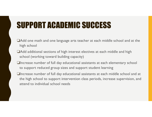### SUPPORT ACADEMIC SUCCESS

- ❏Add one math and one language arts teacher at each middle school and at the high school
- ❏Add additional sections of high interest electives at each middle and high school (working toward building capacity)
- ❏Increase number of full day educational assistants at each elementary school to support reduced group sizes and support student learning
- ❏Increase number of full day educational assistants at each middle school and at the high school to support intervention class periods, increase supervision, and attend to individual school needs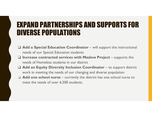## EXPAND PARTNERSHIPS AND SUPPORTS FOR DIVERSE POPULATIONS **EXPAND PARTNERSHIPS AND SUPPORTS FOR<br>DIVERSE POPULATIONS**<br>□ Add a Special Education Coordinator – will support the instructional<br>needs of our Special Education students<br>needs of Homeless students in our district **EXPAND PARTNERSHIPS AND SUPPORTS FOR<br>
DIVERSE POPULATIONS**<br>  $\Box$  Add a Special Education Coordinator – will support the instructional<br>
needs of our Special Education students<br>  $\Box$  Increase contracted services with Maslo **EXPAND PARTNERSHIPS AND SUPPORTS FOR<br>
DIVERSE POPULATIONS**<br>  $\Box$  Add a Special Education Coordinator – will support the instructional<br>  $\Box$  Increase contracted services with Maslow Project – supports the<br>  $\Box$  Add an Equ

- needs of our Special Education students <p>□ <b>WEKSE PUPULAR I UNS</b></p>\n<p>□ Add a Special Education Coordinate will support the instructional needs of our Special Education students</p>\n<p>□ Increase contracted services with Maslow Project – supports the needs of Homeless students in our district</p>\n<p>□ Add an Equity Diversity Inclusion Coordinate – to support district work in meeting the needs of our changing and diverse population</p>\n<p>□ Add one school nurse – currently the district has one school nurse to meet the needs of over 6,500 students.</p>
- needs of Homeless students in our district
- work in meeting the needs of our changing and diverse population
- meet the needs of over 6,500 students.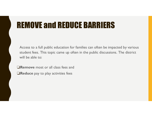### REMOVE and REDUCE BARRIERS

Access to a full public education for families can often be impacted by various student fees. This topic came up often in the public discussions. The district will be able to:

❏Remove most or all class fees and ❏Reduce pay to play activities fees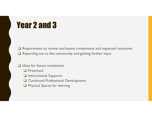### Year 2 and 3

❏ Requirement to review and assess investments and expected outcomes ❏ Reporting out to the community and getting further input

#### ❏ Ideas for future investment

- ❏ Preschool
- ❏ Instructional Supports
- ❏ Continued Professional Development
- ❏ Physical Spaces for learning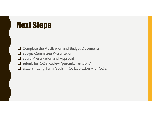### Next Steps

- ❏ Complete the Application and Budget Documents
- ❏ Budget Committee Presentation
- ❏ Board Presentation and Approval
- ❏ Submit for ODE Review (potential revisions)
- ❏ Establish Long Term Goals In Collaboration with ODE